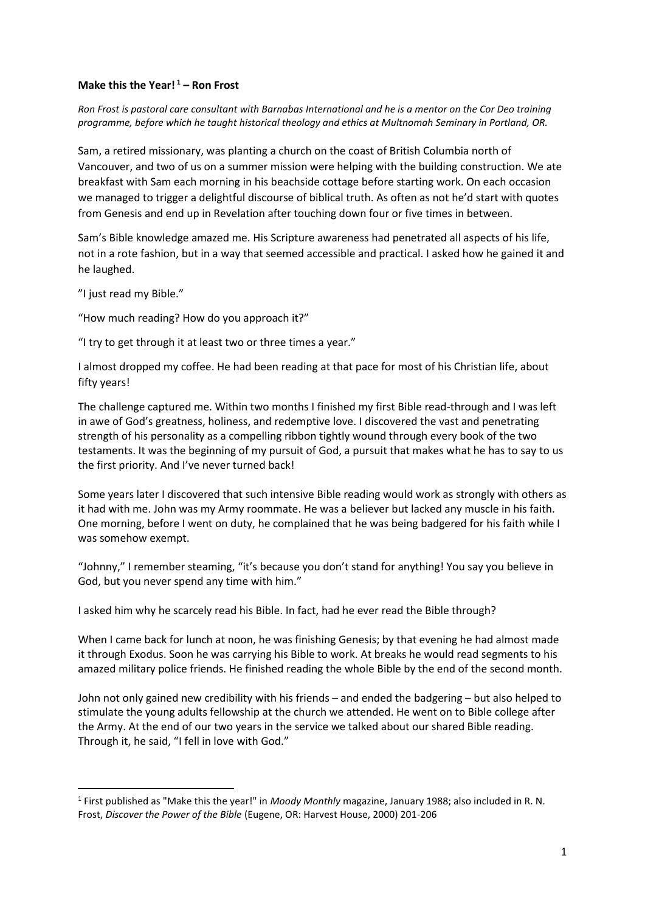### **Make this the Year! <sup>1</sup> – Ron Frost**

*Ron Frost is pastoral care consultant with Barnabas International and he is a mentor on the Cor Deo training programme, before which he taught historical theology and ethics at Multnomah Seminary in Portland, OR.*

Sam, a retired missionary, was planting a church on the coast of British Columbia north of Vancouver, and two of us on a summer mission were helping with the building construction. We ate breakfast with Sam each morning in his beachside cottage before starting work. On each occasion we managed to trigger a delightful discourse of biblical truth. As often as not he'd start with quotes from Genesis and end up in Revelation after touching down four or five times in between.

Sam's Bible knowledge amazed me. His Scripture awareness had penetrated all aspects of his life, not in a rote fashion, but in a way that seemed accessible and practical. I asked how he gained it and he laughed.

"I just read my Bible."

"How much reading? How do you approach it?"

"I try to get through it at least two or three times a year."

I almost dropped my coffee. He had been reading at that pace for most of his Christian life, about fifty years!

The challenge captured me. Within two months I finished my first Bible read-through and I was left in awe of God's greatness, holiness, and redemptive love. I discovered the vast and penetrating strength of his personality as a compelling ribbon tightly wound through every book of the two testaments. It was the beginning of my pursuit of God, a pursuit that makes what he has to say to us the first priority. And I've never turned back!

Some years later I discovered that such intensive Bible reading would work as strongly with others as it had with me. John was my Army roommate. He was a believer but lacked any muscle in his faith. One morning, before I went on duty, he complained that he was being badgered for his faith while I was somehow exempt.

"Johnny," I remember steaming, "it's because you don't stand for anything! You say you believe in God, but you never spend any time with him."

I asked him why he scarcely read his Bible. In fact, had he ever read the Bible through?

When I came back for lunch at noon, he was finishing Genesis; by that evening he had almost made it through Exodus. Soon he was carrying his Bible to work. At breaks he would read segments to his amazed military police friends. He finished reading the whole Bible by the end of the second month.

John not only gained new credibility with his friends – and ended the badgering – but also helped to stimulate the young adults fellowship at the church we attended. He went on to Bible college after the Army. At the end of our two years in the service we talked about our shared Bible reading. Through it, he said, "I fell in love with God."

<sup>&</sup>lt;sup>1</sup> First published as "Make this the year!" in *Moody Monthly* magazine, January 1988; also included in R. N. Frost, *Discover the Power of the Bible* (Eugene, OR: Harvest House, 2000) 201-206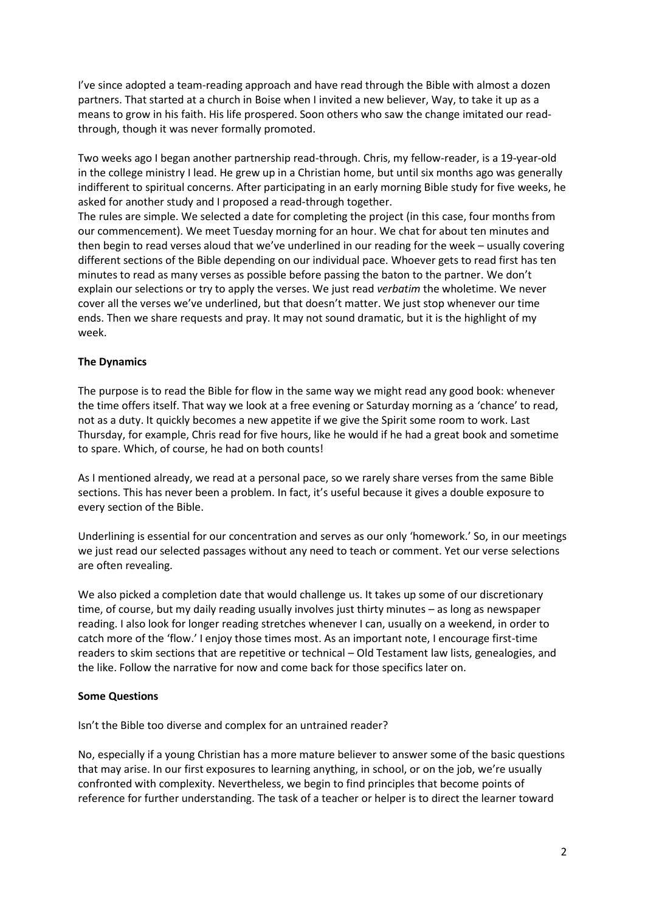I've since adopted a team-reading approach and have read through the Bible with almost a dozen partners. That started at a church in Boise when I invited a new believer, Way, to take it up as a means to grow in his faith. His life prospered. Soon others who saw the change imitated our readthrough, though it was never formally promoted.

Two weeks ago I began another partnership read-through. Chris, my fellow-reader, is a 19-year-old in the college ministry I lead. He grew up in a Christian home, but until six months ago was generally indifferent to spiritual concerns. After participating in an early morning Bible study for five weeks, he asked for another study and I proposed a read-through together.

The rules are simple. We selected a date for completing the project (in this case, four months from our commencement). We meet Tuesday morning for an hour. We chat for about ten minutes and then begin to read verses aloud that we've underlined in our reading for the week – usually covering different sections of the Bible depending on our individual pace. Whoever gets to read first has ten minutes to read as many verses as possible before passing the baton to the partner. We don't explain our selections or try to apply the verses. We just read *verbatim* the wholetime. We never cover all the verses we've underlined, but that doesn't matter. We just stop whenever our time ends. Then we share requests and pray. It may not sound dramatic, but it is the highlight of my week.

# **The Dynamics**

The purpose is to read the Bible for flow in the same way we might read any good book: whenever the time offers itself. That way we look at a free evening or Saturday morning as a 'chance' to read, not as a duty. It quickly becomes a new appetite if we give the Spirit some room to work. Last Thursday, for example, Chris read for five hours, like he would if he had a great book and sometime to spare. Which, of course, he had on both counts!

As I mentioned already, we read at a personal pace, so we rarely share verses from the same Bible sections. This has never been a problem. In fact, it's useful because it gives a double exposure to every section of the Bible.

Underlining is essential for our concentration and serves as our only 'homework.' So, in our meetings we just read our selected passages without any need to teach or comment. Yet our verse selections are often revealing.

We also picked a completion date that would challenge us. It takes up some of our discretionary time, of course, but my daily reading usually involves just thirty minutes – as long as newspaper reading. I also look for longer reading stretches whenever I can, usually on a weekend, in order to catch more of the 'flow.' I enjoy those times most. As an important note, I encourage first-time readers to skim sections that are repetitive or technical – Old Testament law lists, genealogies, and the like. Follow the narrative for now and come back for those specifics later on.

## **Some Questions**

Isn't the Bible too diverse and complex for an untrained reader?

No, especially if a young Christian has a more mature believer to answer some of the basic questions that may arise. In our first exposures to learning anything, in school, or on the job, we're usually confronted with complexity. Nevertheless, we begin to find principles that become points of reference for further understanding. The task of a teacher or helper is to direct the learner toward